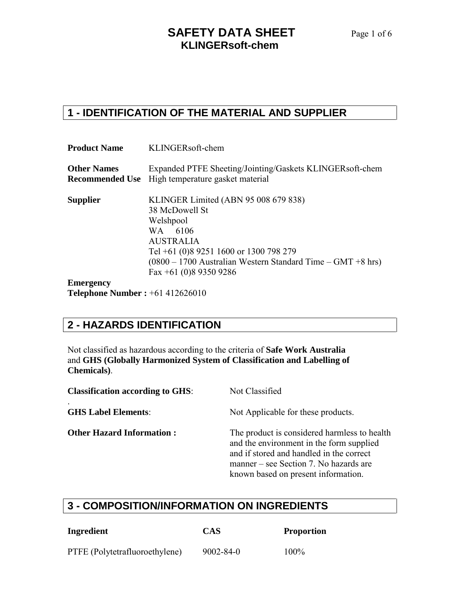#### **SAFETY DATA SHEET** Page 1 of 6 **KLINGERsoft-chem**

#### **1 - IDENTIFICATION OF THE MATERIAL AND SUPPLIER**

| <b>Product Name</b>                      | KLINGERsoft-chem                                                                                                                                                                                                                        |
|------------------------------------------|-----------------------------------------------------------------------------------------------------------------------------------------------------------------------------------------------------------------------------------------|
| <b>Other Names</b>                       | Expanded PTFE Sheeting/Jointing/Gaskets KLINGERsoft-chem<br><b>Recommended Use</b> High temperature gasket material                                                                                                                     |
| <b>Supplier</b>                          | KLINGER Limited (ABN 95 008 679 838)<br>38 McDowell St<br>Welshpool<br>WA 6106<br><b>AUSTRALIA</b><br>Tel +61 (0)8 9251 1600 or 1300 798 279<br>$(0800 - 1700$ Australian Western Standard Time – GMT +8 hrs)<br>Fax +61 (0)8 9350 9286 |
| <b>Emergency</b>                         |                                                                                                                                                                                                                                         |
| <b>Telephone Number :</b> $+61412626010$ |                                                                                                                                                                                                                                         |

#### **2 - HAZARDS IDENTIFICATION**

Not classified as hazardous according to the criteria of **Safe Work Australia** and **GHS (Globally Harmonized System of Classification and Labelling of Chemicals)**.

| <b>Classification according to GHS:</b> | Not Classified                                                                                                                                                                                                        |
|-----------------------------------------|-----------------------------------------------------------------------------------------------------------------------------------------------------------------------------------------------------------------------|
| <b>GHS Label Elements:</b>              | Not Applicable for these products.                                                                                                                                                                                    |
| <b>Other Hazard Information:</b>        | The product is considered harmless to health<br>and the environment in the form supplied<br>and if stored and handled in the correct<br>manner – see Section 7. No hazards are<br>known based on present information. |

#### **3 - COMPOSITION/INFORMATION ON INGREDIENTS**

| Ingredient                     | <b>CAS</b>      | <b>Proportion</b> |
|--------------------------------|-----------------|-------------------|
| PTFE (Polytetrafluoroethylene) | $9002 - 84 - 0$ | $100\%$           |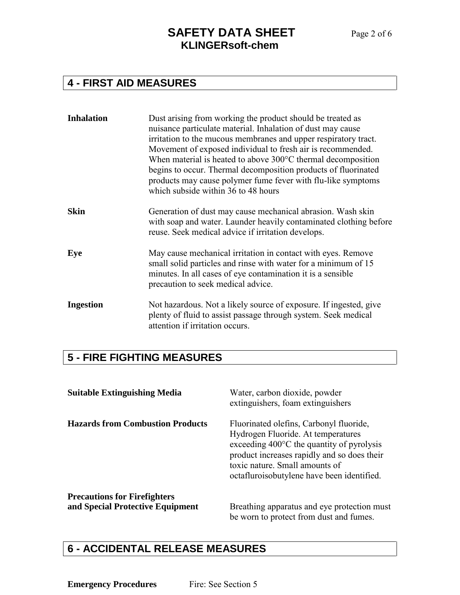#### **4 - FIRST AID MEASURES**

| <b>Inhalation</b> | Dust arising from working the product should be treated as<br>nuisance particulate material. Inhalation of dust may cause<br>irritation to the mucous membranes and upper respiratory tract.<br>Movement of exposed individual to fresh air is recommended.<br>When material is heated to above $300^{\circ}$ C thermal decomposition<br>begins to occur. Thermal decomposition products of fluorinated<br>products may cause polymer fume fever with flu-like symptoms<br>which subside within 36 to 48 hours |
|-------------------|----------------------------------------------------------------------------------------------------------------------------------------------------------------------------------------------------------------------------------------------------------------------------------------------------------------------------------------------------------------------------------------------------------------------------------------------------------------------------------------------------------------|
| <b>Skin</b>       | Generation of dust may cause mechanical abrasion. Wash skin<br>with soap and water. Launder heavily contaminated clothing before<br>reuse. Seek medical advice if irritation develops.                                                                                                                                                                                                                                                                                                                         |
| Eye               | May cause mechanical irritation in contact with eyes. Remove<br>small solid particles and rinse with water for a minimum of 15<br>minutes. In all cases of eye contamination it is a sensible<br>precaution to seek medical advice.                                                                                                                                                                                                                                                                            |
| <b>Ingestion</b>  | Not hazardous. Not a likely source of exposure. If ingested, give<br>plenty of fluid to assist passage through system. Seek medical<br>attention if irritation occurs.                                                                                                                                                                                                                                                                                                                                         |

# **5 - FIRE FIGHTING MEASURES**

| <b>Suitable Extinguishing Media</b>     | Water, carbon dioxide, powder<br>extinguishers, foam extinguishers                                                                                                                                                                                                  |
|-----------------------------------------|---------------------------------------------------------------------------------------------------------------------------------------------------------------------------------------------------------------------------------------------------------------------|
| <b>Hazards from Combustion Products</b> | Fluorinated olefins, Carbonyl fluoride,<br>Hydrogen Fluoride. At temperatures<br>exceeding $400^{\circ}$ C the quantity of pyrolysis<br>product increases rapidly and so does their<br>toxic nature. Small amounts of<br>octafluroisobutylene have been identified. |
| <b>Precautions for Firefighters</b>     |                                                                                                                                                                                                                                                                     |
| and Special Protective Equipment        | Breathing apparatus and eye protection must<br>be worn to protect from dust and fumes.                                                                                                                                                                              |

#### **6 - ACCIDENTAL RELEASE MEASURES**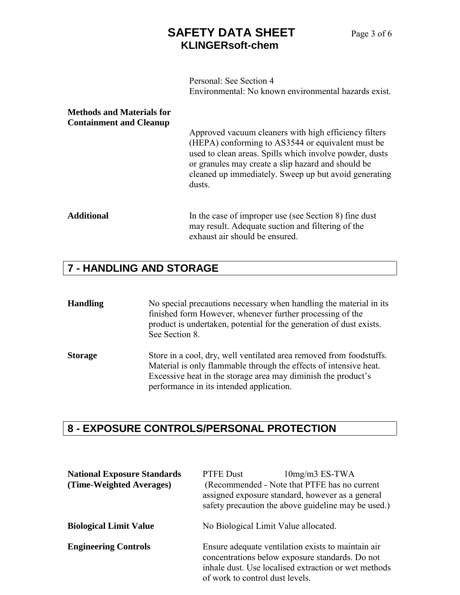## **SAFETY DATA SHEET** Page 3 of 6 **KLINGERsoft-chem**

Personal: See Section 4 Environmental: No known environmental hazards exist.

| <b>Methods and Materials for</b><br><b>Containment and Cleanup</b> | Approved vacuum cleaners with high efficiency filters<br>(HEPA) conforming to AS3544 or equivalent must be<br>used to clean areas. Spills which involve powder, dusts<br>or granules may create a slip hazard and should be<br>cleaned up immediately. Sweep up but avoid generating<br>dusts. |
|--------------------------------------------------------------------|------------------------------------------------------------------------------------------------------------------------------------------------------------------------------------------------------------------------------------------------------------------------------------------------|
| <b>Additional</b>                                                  | In the case of improper use (see Section 8) fine dust<br>may result. A dequate suction and filtering of the<br>exhaust air should be ensured.                                                                                                                                                  |

# **7 - HANDLING AND STORAGE**

| <b>Handling</b> | No special precautions necessary when handling the material in its<br>finished form However, whenever further processing of the<br>product is undertaken, potential for the generation of dust exists.<br>See Section 8.                              |
|-----------------|-------------------------------------------------------------------------------------------------------------------------------------------------------------------------------------------------------------------------------------------------------|
| <b>Storage</b>  | Store in a cool, dry, well ventilated area removed from foodstuffs.<br>Material is only flammable through the effects of intensive heat.<br>Excessive heat in the storage area may diminish the product's<br>performance in its intended application. |

# **8 - EXPOSURE CONTROLS/PERSONAL PROTECTION**

| <b>National Exposure Standards</b><br>(Time-Weighted Averages) | PTFE Dust<br>$10mg/m3$ ES-TWA<br>(Recommended - Note that PTFE has no current<br>assigned exposure standard, however as a general<br>safety precaution the above guideline may be used.)         |
|----------------------------------------------------------------|--------------------------------------------------------------------------------------------------------------------------------------------------------------------------------------------------|
| <b>Biological Limit Value</b>                                  | No Biological Limit Value allocated.                                                                                                                                                             |
| <b>Engineering Controls</b>                                    | Ensure adequate ventilation exists to maintain air<br>concentrations below exposure standards. Do not<br>inhale dust. Use localised extraction or wet methods<br>of work to control dust levels. |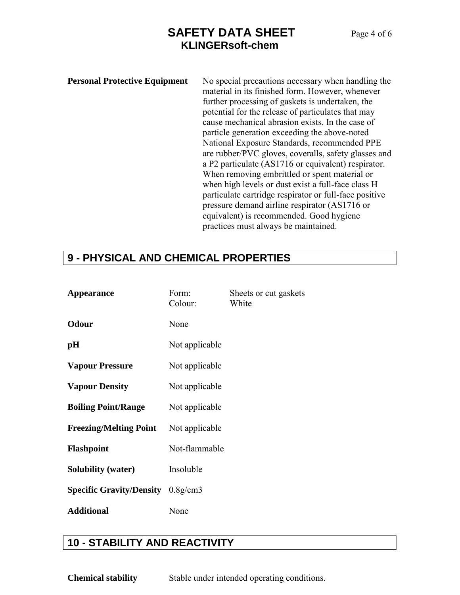### **SAFETY DATA SHEET** Page 4 of 6 **KLINGERsoft-chem**

**Personal Protective Equipment** No special precautions necessary when handling the material in its finished form. However, whenever further processing of gaskets is undertaken, the potential for the release of particulates that may cause mechanical abrasion exists. In the case of particle generation exceeding the above-noted National Exposure Standards, recommended PPE are rubber/PVC gloves, coveralls, safety glasses and a P2 particulate (AS1716 or equivalent) respirator. When removing embrittled or spent material or when high levels or dust exist a full-face class H particulate cartridge respirator or full-face positive pressure demand airline respirator (AS1716 or equivalent) is recommended. Good hygiene practices must always be maintained.

#### **9 - PHYSICAL AND CHEMICAL PROPERTIES**

| <b>Appearance</b>                          | Form:<br>Colour: | Sheets or cut gaskets<br>White |
|--------------------------------------------|------------------|--------------------------------|
| <b>Odour</b>                               | None             |                                |
| pН                                         | Not applicable   |                                |
| <b>Vapour Pressure</b>                     | Not applicable   |                                |
| <b>Vapour Density</b>                      | Not applicable   |                                |
| <b>Boiling Point/Range</b>                 | Not applicable   |                                |
| <b>Freezing/Melting Point</b>              | Not applicable   |                                |
| <b>Flashpoint</b>                          | Not-flammable    |                                |
| <b>Solubility (water)</b>                  | Insoluble        |                                |
| <b>Specific Gravity/Density</b> $0.8g/cm3$ |                  |                                |
| <b>Additional</b>                          | None             |                                |

#### **10 - STABILITY AND REACTIVITY**

**Chemical stability** Stable under intended operating conditions.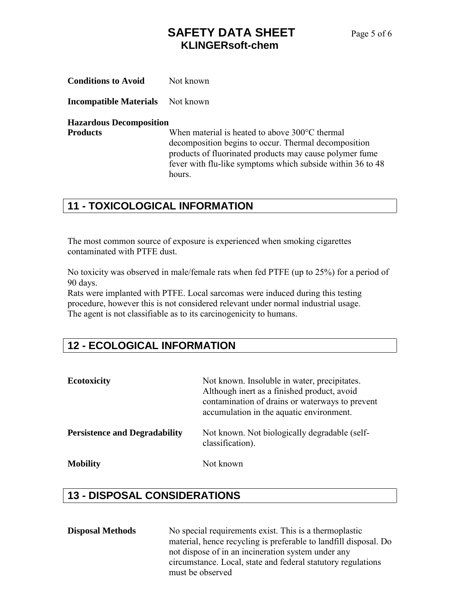## **SAFETY DATA SHEET** Page 5 of 6 **KLINGERsoft-chem**

| <b>Conditions to Avoid</b> | Not known |
|----------------------------|-----------|
|----------------------------|-----------|

**Incompatible Materials** Not known

#### **Hazardous Decomposition**

**Products** When material is heated to above 300°C thermal decomposition begins to occur. Thermal decomposition products of fluorinated products may cause polymer fume fever with flu-like symptoms which subside within 36 to 48 hours.

#### **11 - TOXICOLOGICAL INFORMATION**

The most common source of exposure is experienced when smoking cigarettes contaminated with PTFE dust.

No toxicity was observed in male/female rats when fed PTFE (up to 25%) for a period of 90 days.

Rats were implanted with PTFE. Local sarcomas were induced during this testing procedure, however this is not considered relevant under normal industrial usage. The agent is not classifiable as to its carcinogenicity to humans.

#### **12 - ECOLOGICAL INFORMATION**

| <b>Ecotoxicity</b>                   | Not known. Insoluble in water, precipitates.<br>Although inert as a finished product, avoid<br>contamination of drains or waterways to prevent<br>accumulation in the aquatic environment. |
|--------------------------------------|--------------------------------------------------------------------------------------------------------------------------------------------------------------------------------------------|
| <b>Persistence and Degradability</b> | Not known. Not biologically degradable (self-<br>classification).                                                                                                                          |
| <b>Mobility</b>                      | Not known                                                                                                                                                                                  |

## **13 - DISPOSAL CONSIDERATIONS**

| <b>Disposal Methods</b> | No special requirements exist. This is a thermoplastic           |
|-------------------------|------------------------------------------------------------------|
|                         | material, hence recycling is preferable to landfill disposal. Do |
|                         | not dispose of in an incineration system under any               |
|                         | circumstance. Local, state and federal statutory regulations     |
|                         | must be observed                                                 |